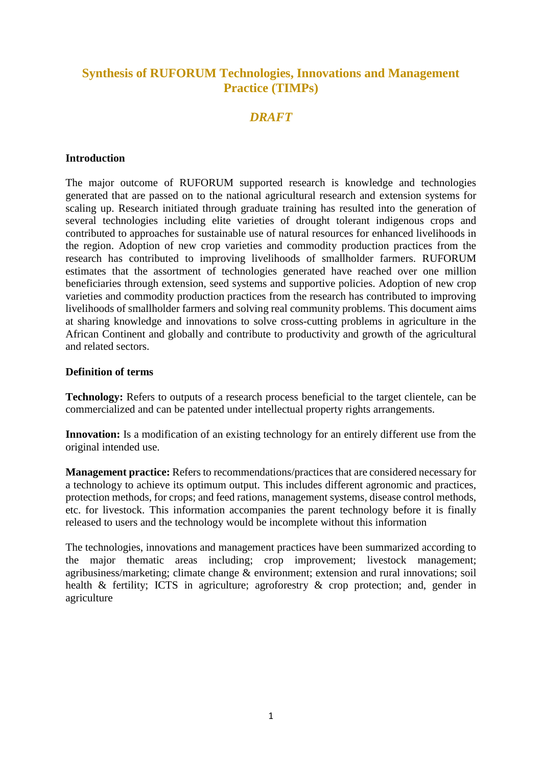#### **Synthesis of RUFORUM Technologies, Innovations and Management Practice (TIMPs)**

#### *DRAFT*

#### **Introduction**

The major outcome of RUFORUM supported research is knowledge and technologies generated that are passed on to the national agricultural research and extension systems for scaling up. Research initiated through graduate training has resulted into the generation of several technologies including elite varieties of drought tolerant indigenous crops and contributed to approaches for sustainable use of natural resources for enhanced livelihoods in the region. Adoption of new crop varieties and commodity production practices from the research has contributed to improving livelihoods of smallholder farmers. RUFORUM estimates that the assortment of technologies generated have reached over one million beneficiaries through extension, seed systems and supportive policies. Adoption of new crop varieties and commodity production practices from the research has contributed to improving livelihoods of smallholder farmers and solving real community problems. This document aims at sharing knowledge and innovations to solve cross-cutting problems in agriculture in the African Continent and globally and contribute to productivity and growth of the agricultural and related sectors.

#### **Definition of terms**

**Technology:** Refers to outputs of a research process beneficial to the target clientele, can be commercialized and can be patented under intellectual property rights arrangements.

**Innovation:** Is a modification of an existing technology for an entirely different use from the original intended use.

**Management practice:** Refers to recommendations/practices that are considered necessary for a technology to achieve its optimum output. This includes different agronomic and practices, protection methods, for crops; and feed rations, management systems, disease control methods, etc. for livestock. This information accompanies the parent technology before it is finally released to users and the technology would be incomplete without this information

The technologies, innovations and management practices have been summarized according to the major thematic areas including; crop improvement; livestock management; agribusiness/marketing; climate change & environment; extension and rural innovations; soil health & fertility; ICTS in agriculture; agroforestry & crop protection; and, gender in agriculture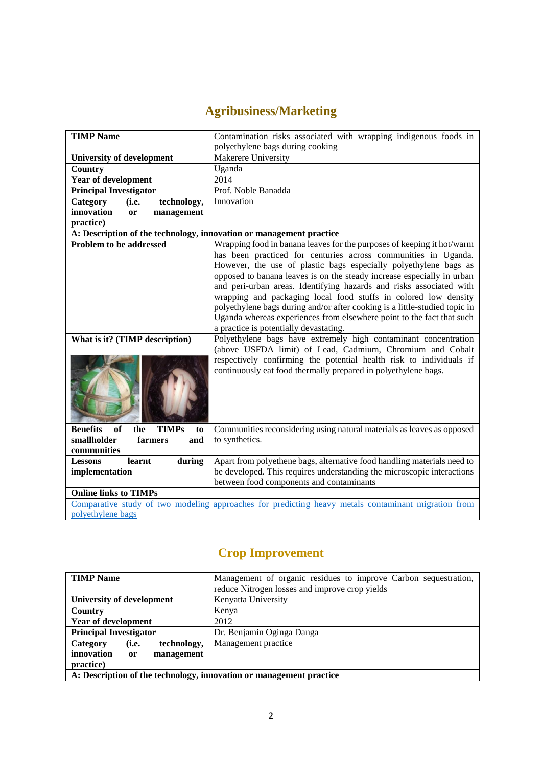## **Agribusiness/Marketing**

| <b>TIMP Name</b>                                                    | Contamination risks associated with wrapping indigenous foods in<br>polyethylene bags during cooking                                                                                                                                                                                                                                                                                                                                                                                                                                                                                                                                                                                                                                                              |
|---------------------------------------------------------------------|-------------------------------------------------------------------------------------------------------------------------------------------------------------------------------------------------------------------------------------------------------------------------------------------------------------------------------------------------------------------------------------------------------------------------------------------------------------------------------------------------------------------------------------------------------------------------------------------------------------------------------------------------------------------------------------------------------------------------------------------------------------------|
| <b>University of development</b>                                    | Makerere University                                                                                                                                                                                                                                                                                                                                                                                                                                                                                                                                                                                                                                                                                                                                               |
| Country                                                             | Uganda                                                                                                                                                                                                                                                                                                                                                                                                                                                                                                                                                                                                                                                                                                                                                            |
| Year of development                                                 | 2014                                                                                                                                                                                                                                                                                                                                                                                                                                                                                                                                                                                                                                                                                                                                                              |
| <b>Principal Investigator</b>                                       | Prof. Noble Banadda                                                                                                                                                                                                                                                                                                                                                                                                                                                                                                                                                                                                                                                                                                                                               |
| technology,<br>Category<br>(i.e.                                    | Innovation                                                                                                                                                                                                                                                                                                                                                                                                                                                                                                                                                                                                                                                                                                                                                        |
| innovation<br>management<br><b>or</b>                               |                                                                                                                                                                                                                                                                                                                                                                                                                                                                                                                                                                                                                                                                                                                                                                   |
| practice)                                                           |                                                                                                                                                                                                                                                                                                                                                                                                                                                                                                                                                                                                                                                                                                                                                                   |
| A: Description of the technology, innovation or management practice |                                                                                                                                                                                                                                                                                                                                                                                                                                                                                                                                                                                                                                                                                                                                                                   |
| <b>Problem to be addressed</b><br>What is it? (TIMP description)    | Wrapping food in banana leaves for the purposes of keeping it hot/warm<br>has been practiced for centuries across communities in Uganda.<br>However, the use of plastic bags especially polyethylene bags as<br>opposed to banana leaves is on the steady increase especially in urban<br>and peri-urban areas. Identifying hazards and risks associated with<br>wrapping and packaging local food stuffs in colored low density<br>polyethylene bags during and/or after cooking is a little-studied topic in<br>Uganda whereas experiences from elsewhere point to the fact that such<br>a practice is potentially devastating.<br>Polyethylene bags have extremely high contaminant concentration<br>(above USFDA limit) of Lead, Cadmium, Chromium and Cobalt |
|                                                                     | respectively confirming the potential health risk to individuals if<br>continuously eat food thermally prepared in polyethylene bags.                                                                                                                                                                                                                                                                                                                                                                                                                                                                                                                                                                                                                             |
| <b>Benefits</b><br>of<br><b>TIMPs</b><br>the<br>to                  | Communities reconsidering using natural materials as leaves as opposed                                                                                                                                                                                                                                                                                                                                                                                                                                                                                                                                                                                                                                                                                            |
| smallholder<br>farmers<br>and                                       | to synthetics.                                                                                                                                                                                                                                                                                                                                                                                                                                                                                                                                                                                                                                                                                                                                                    |
| communities                                                         |                                                                                                                                                                                                                                                                                                                                                                                                                                                                                                                                                                                                                                                                                                                                                                   |
| learnt<br>during<br><b>Lessons</b>                                  | Apart from polyethene bags, alternative food handling materials need to                                                                                                                                                                                                                                                                                                                                                                                                                                                                                                                                                                                                                                                                                           |
| implementation                                                      | be developed. This requires understanding the microscopic interactions                                                                                                                                                                                                                                                                                                                                                                                                                                                                                                                                                                                                                                                                                            |
|                                                                     | between food components and contaminants                                                                                                                                                                                                                                                                                                                                                                                                                                                                                                                                                                                                                                                                                                                          |
| <b>Online links to TIMPs</b>                                        |                                                                                                                                                                                                                                                                                                                                                                                                                                                                                                                                                                                                                                                                                                                                                                   |
|                                                                     | Comparative study of two modeling approaches for predicting heavy metals contaminant migration from                                                                                                                                                                                                                                                                                                                                                                                                                                                                                                                                                                                                                                                               |
| polyethylene bags                                                   |                                                                                                                                                                                                                                                                                                                                                                                                                                                                                                                                                                                                                                                                                                                                                                   |

### **Crop Improvement**

| <b>TIMP</b> Name                                                    | Management of organic residues to improve Carbon sequestration, |
|---------------------------------------------------------------------|-----------------------------------------------------------------|
|                                                                     | reduce Nitrogen losses and improve crop yields                  |
| University of development                                           | Kenyatta University                                             |
| Country                                                             | Kenya                                                           |
| <b>Year of development</b>                                          | 2012                                                            |
| <b>Principal Investigator</b>                                       | Dr. Benjamin Oginga Danga                                       |
| technology,<br>Category<br>(i.e.                                    | Management practice                                             |
| innovation<br>management<br>or                                      |                                                                 |
| practice)                                                           |                                                                 |
| A: Description of the technology, innovation or management practice |                                                                 |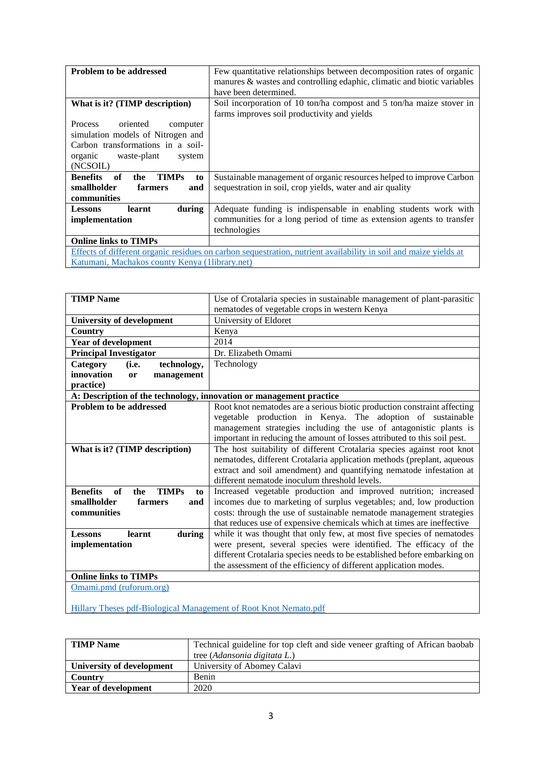| Problem to be addressed                                                                                                                                            | Few quantitative relationships between decomposition rates of organic<br>manures & wastes and controlling edaphic, climatic and biotic variables<br>have been determined. |
|--------------------------------------------------------------------------------------------------------------------------------------------------------------------|---------------------------------------------------------------------------------------------------------------------------------------------------------------------------|
| What is it? (TIMP description)                                                                                                                                     | Soil incorporation of 10 ton/ha compost and 5 ton/ha maize stover in<br>farms improves soil productivity and yields                                                       |
| Process oriented<br>computer<br>simulation models of Nitrogen and<br>Carbon transformations in a soil-<br>organic waste-plant<br>system<br>(NCSOIL)                |                                                                                                                                                                           |
| <b>Benefits</b><br><b>TIMPs</b><br>of<br>the<br>to<br>smallholder<br>farmers<br>and<br>communities                                                                 | Sustainable management of organic resources helped to improve Carbon<br>sequestration in soil, crop yields, water and air quality                                         |
| during<br>learnt<br><b>Lessons</b><br>implementation                                                                                                               | Adequate funding is indispensable in enabling students work with<br>communities for a long period of time as extension agents to transfer<br>technologies                 |
| <b>Online links to TIMPs</b>                                                                                                                                       |                                                                                                                                                                           |
| Effects of different organic residues on carbon sequestration, nutrient availability in soil and maize yields at<br>Katumani, Machakos county Kenya (1library.net) |                                                                                                                                                                           |

| <b>TIMP</b> Name                                                    | Use of Crotalaria species in sustainable management of plant-parasitic<br>nematodes of vegetable crops in western Kenya |
|---------------------------------------------------------------------|-------------------------------------------------------------------------------------------------------------------------|
| <b>University of development</b>                                    | University of Eldoret                                                                                                   |
| Country                                                             | Kenya                                                                                                                   |
| <b>Year of development</b>                                          | 2014                                                                                                                    |
| <b>Principal Investigator</b>                                       | Dr. Elizabeth Omami                                                                                                     |
| (i.e.<br><b>Category</b><br>technology,                             | Technology                                                                                                              |
| innovation<br>management<br>or                                      |                                                                                                                         |
| practice)                                                           |                                                                                                                         |
| A: Description of the technology, innovation or management practice |                                                                                                                         |
| <b>Problem to be addressed</b>                                      | Root knot nematodes are a serious biotic production constraint affecting                                                |
|                                                                     | vegetable production in Kenya. The adoption of sustainable                                                              |
|                                                                     | management strategies including the use of antagonistic plants is                                                       |
|                                                                     | important in reducing the amount of losses attributed to this soil pest.                                                |
| What is it? (TIMP description)                                      | The host suitability of different Crotalaria species against root knot                                                  |
|                                                                     | nematodes, different Crotalaria application methods (preplant, aqueous                                                  |
|                                                                     | extract and soil amendment) and quantifying nematode infestation at                                                     |
|                                                                     | different nematode inoculum threshold levels.                                                                           |
| <b>Benefits</b><br><b>TIMPs</b><br>of<br>the<br>to                  | Increased vegetable production and improved nutrition; increased                                                        |
| smallholder<br>farmers<br>and                                       | incomes due to marketing of surplus vegetables; and, low production                                                     |
| communities                                                         | costs: through the use of sustainable nematode management strategies                                                    |
|                                                                     | that reduces use of expensive chemicals which at times are ineffective                                                  |
| learnt<br>during<br><b>Lessons</b>                                  | while it was thought that only few, at most five species of nematodes                                                   |
| implementation                                                      | were present, several species were identified. The efficacy of the                                                      |
|                                                                     | different Crotalaria species needs to be established before embarking on                                                |
|                                                                     | the assessment of the efficiency of different application modes.                                                        |
| <b>Online links to TIMPs</b>                                        |                                                                                                                         |
| Omami.pmd (ruforum.org)                                             |                                                                                                                         |

[Hillary Theses pdf-Biological Management of Root Knot Nemato.pdf](http://41.89.164.122:8080/xmlui/bitstream/handle/123456789/94/Hillary%20Theses%20pdf-Biological%20Management%20of%20Root%20Knot%20Nemato.pdf?sequence=1)

| <b>TIMP</b> Name           | Technical guideline for top cleft and side veneer grafting of African baobab |  |
|----------------------------|------------------------------------------------------------------------------|--|
|                            | tree (Adansonia digitata L.)                                                 |  |
| University of development  | University of Abomey Calavi                                                  |  |
| Country                    | Benin                                                                        |  |
| <b>Year of development</b> | 2020                                                                         |  |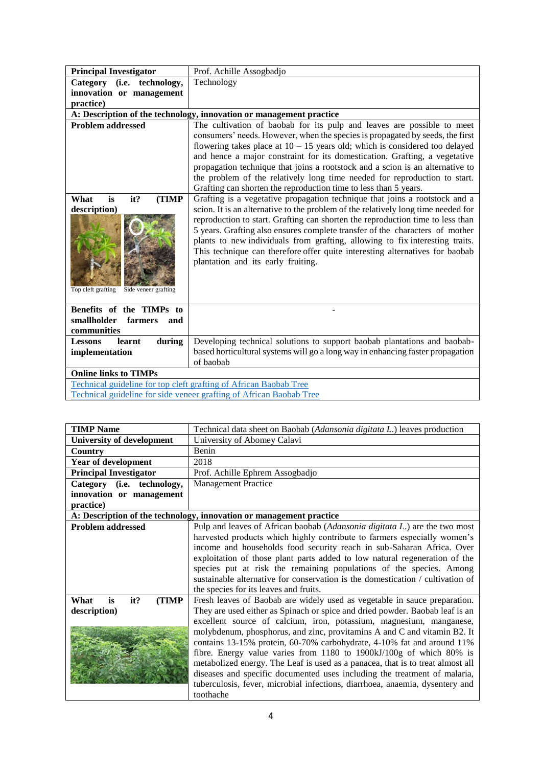| <b>Principal Investigator</b>                                                            | Prof. Achille Assogbadjo                                                                                                                                                                                                                                                                                                                                                                                                                                                                                                                                 |
|------------------------------------------------------------------------------------------|----------------------------------------------------------------------------------------------------------------------------------------------------------------------------------------------------------------------------------------------------------------------------------------------------------------------------------------------------------------------------------------------------------------------------------------------------------------------------------------------------------------------------------------------------------|
| Category (i.e. technology,                                                               | Technology                                                                                                                                                                                                                                                                                                                                                                                                                                                                                                                                               |
| innovation or management                                                                 |                                                                                                                                                                                                                                                                                                                                                                                                                                                                                                                                                          |
| practice)                                                                                |                                                                                                                                                                                                                                                                                                                                                                                                                                                                                                                                                          |
|                                                                                          | A: Description of the technology, innovation or management practice                                                                                                                                                                                                                                                                                                                                                                                                                                                                                      |
| <b>Problem addressed</b>                                                                 | The cultivation of baobab for its pulp and leaves are possible to meet<br>consumers' needs. However, when the species is propagated by seeds, the first<br>flowering takes place at $10 - 15$ years old; which is considered too delayed<br>and hence a major constraint for its domestication. Grafting, a vegetative<br>propagation technique that joins a rootstock and a scion is an alternative to<br>the problem of the relatively long time needed for reproduction to start.<br>Grafting can shorten the reproduction time to less than 5 years. |
| it?<br>(TIMP<br>What<br>is<br>description)<br>Top cleft grafting<br>Side veneer grafting | Grafting is a vegetative propagation technique that joins a rootstock and a<br>scion. It is an alternative to the problem of the relatively long time needed for<br>reproduction to start. Grafting can shorten the reproduction time to less than<br>5 years. Grafting also ensures complete transfer of the characters of mother<br>plants to new individuals from grafting, allowing to fix interesting traits.<br>This technique can therefore offer quite interesting alternatives for baobab<br>plantation and its early fruiting.                 |
| Benefits of the TIMPs to<br>smallholder<br>farmers<br>and<br>communities                 |                                                                                                                                                                                                                                                                                                                                                                                                                                                                                                                                                          |
| <b>Lessons</b><br>learnt<br>during                                                       | Developing technical solutions to support baobab plantations and baobab-                                                                                                                                                                                                                                                                                                                                                                                                                                                                                 |
| implementation                                                                           | based horticultural systems will go a long way in enhancing faster propagation<br>of baobab                                                                                                                                                                                                                                                                                                                                                                                                                                                              |
| <b>Online links to TIMPs</b>                                                             |                                                                                                                                                                                                                                                                                                                                                                                                                                                                                                                                                          |
| Technical guideline for top cleft grafting of African Baobab Tree                        |                                                                                                                                                                                                                                                                                                                                                                                                                                                                                                                                                          |
|                                                                                          | Technical guideline for side veneer grafting of African Baobab Tree                                                                                                                                                                                                                                                                                                                                                                                                                                                                                      |

| <b>TIMP</b> Name                 | Technical data sheet on Baobab (Adansonia digitata L.) leaves production       |  |
|----------------------------------|--------------------------------------------------------------------------------|--|
| <b>University of development</b> | University of Abomey Calavi                                                    |  |
| <b>Country</b>                   | Benin                                                                          |  |
| <b>Year of development</b>       | 2018                                                                           |  |
| <b>Principal Investigator</b>    | Prof. Achille Ephrem Assogbadjo                                                |  |
| Category (i.e. technology,       | <b>Management Practice</b>                                                     |  |
| innovation or management         |                                                                                |  |
| practice)                        |                                                                                |  |
|                                  | A: Description of the technology, innovation or management practice            |  |
| <b>Problem addressed</b>         | Pulp and leaves of African baobab (Adansonia digitata L.) are the two most     |  |
|                                  | harvested products which highly contribute to farmers especially women's       |  |
|                                  | income and households food security reach in sub-Saharan Africa. Over          |  |
|                                  | exploitation of those plant parts added to low natural regeneration of the     |  |
|                                  | species put at risk the remaining populations of the species. Among            |  |
|                                  | sustainable alternative for conservation is the domestication / cultivation of |  |
|                                  | the species for its leaves and fruits.                                         |  |
| it?<br>(TIMP<br>What<br>is       | Fresh leaves of Baobab are widely used as vegetable in sauce preparation.      |  |
| description)                     | They are used either as Spinach or spice and dried powder. Baobab leaf is an   |  |
|                                  | excellent source of calcium, iron, potassium, magnesium, manganese,            |  |
|                                  | molybdenum, phosphorus, and zinc, provitamins A and C and vitamin B2. It       |  |
|                                  | contains 13-15% protein, 60-70% carbohydrate, 4-10% fat and around 11%         |  |
|                                  | fibre. Energy value varies from 1180 to 1900kJ/100g of which 80% is            |  |
|                                  | metabolized energy. The Leaf is used as a panacea, that is to treat almost all |  |
|                                  | diseases and specific documented uses including the treatment of malaria,      |  |
|                                  | tuberculosis, fever, microbial infections, diarrhoea, anaemia, dysentery and   |  |
|                                  | toothache                                                                      |  |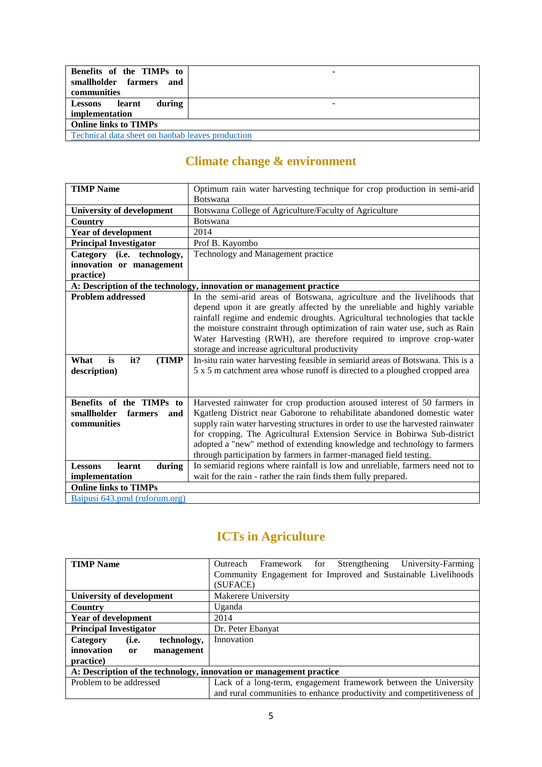| Benefits of the TIMPs to                                | - |
|---------------------------------------------------------|---|
| smallholder farmers and                                 |   |
| communities                                             |   |
| during<br><b>Lessons</b><br>learnt                      |   |
| implementation                                          |   |
| <b>Online links to TIMPs</b>                            |   |
| <b>Technical data sheet on baobab leaves production</b> |   |

## **Climate change & environment**

| <b>TIMP Name</b>                   | Optimum rain water harvesting technique for crop production in semi-arid        |
|------------------------------------|---------------------------------------------------------------------------------|
|                                    | <b>Botswana</b>                                                                 |
| <b>University of development</b>   | Botswana College of Agriculture/Faculty of Agriculture                          |
| <b>Country</b>                     | <b>Botswana</b>                                                                 |
| Year of development                | 2014                                                                            |
| <b>Principal Investigator</b>      | Prof B. Kayombo                                                                 |
| Category (i.e. technology,         | Technology and Management practice                                              |
| innovation or management           |                                                                                 |
| practice)                          |                                                                                 |
|                                    | A: Description of the technology, innovation or management practice             |
| <b>Problem addressed</b>           | In the semi-arid areas of Botswana, agriculture and the livelihoods that        |
|                                    | depend upon it are greatly affected by the unreliable and highly variable       |
|                                    | rainfall regime and endemic droughts. Agricultural technologies that tackle     |
|                                    | the moisture constraint through optimization of rain water use, such as Rain    |
|                                    | Water Harvesting (RWH), are therefore required to improve crop-water            |
|                                    | storage and increase agricultural productivity                                  |
| it?<br><b>TIMP</b><br>What<br>is   | In-situ rain water harvesting feasible in semiarid areas of Botswana. This is a |
| description)                       | 5 x 5 m catchment area whose runoff is directed to a ploughed cropped area      |
|                                    |                                                                                 |
|                                    |                                                                                 |
| Benefits of the TIMPs to           | Harvested rainwater for crop production aroused interest of 50 farmers in       |
| smallholder<br>farmers<br>and      | Kgatleng District near Gaborone to rehabilitate abandoned domestic water        |
| communities                        | supply rain water harvesting structures in order to use the harvested rainwater |
|                                    | for cropping. The Agricultural Extension Service in Bobirwa Sub-district        |
|                                    | adopted a "new" method of extending knowledge and technology to farmers         |
|                                    | through participation by farmers in farmer-managed field testing.               |
| learnt<br><b>Lessons</b><br>during | In semiarid regions where rainfall is low and unreliable, farmers need not to   |
| implementation                     | wait for the rain - rather the rain finds them fully prepared.                  |
| <b>Online links to TIMPs</b>       |                                                                                 |
| Baipusi 643.pmd (ruforum.org)      |                                                                                 |

# **ICTs in Agriculture**

| <b>TIMP</b> Name                                                    | University-Farming<br>Framework for<br>Strengthening<br>Outreach     |  |
|---------------------------------------------------------------------|----------------------------------------------------------------------|--|
|                                                                     | Community Engagement for Improved and Sustainable Livelihoods        |  |
|                                                                     | (SUFACE)                                                             |  |
| University of development                                           | Makerere University                                                  |  |
| Country                                                             | Uganda                                                               |  |
| <b>Year of development</b>                                          | 2014                                                                 |  |
| <b>Principal Investigator</b>                                       | Dr. Peter Ebanyat                                                    |  |
| technology,<br>Category<br>(i.e.                                    | Innovation                                                           |  |
| innovation<br>management<br><sub>or</sub>                           |                                                                      |  |
| practice)                                                           |                                                                      |  |
| A: Description of the technology, innovation or management practice |                                                                      |  |
| Problem to be addressed                                             | Lack of a long-term, engagement framework between the University     |  |
|                                                                     | and rural communities to enhance productivity and competitiveness of |  |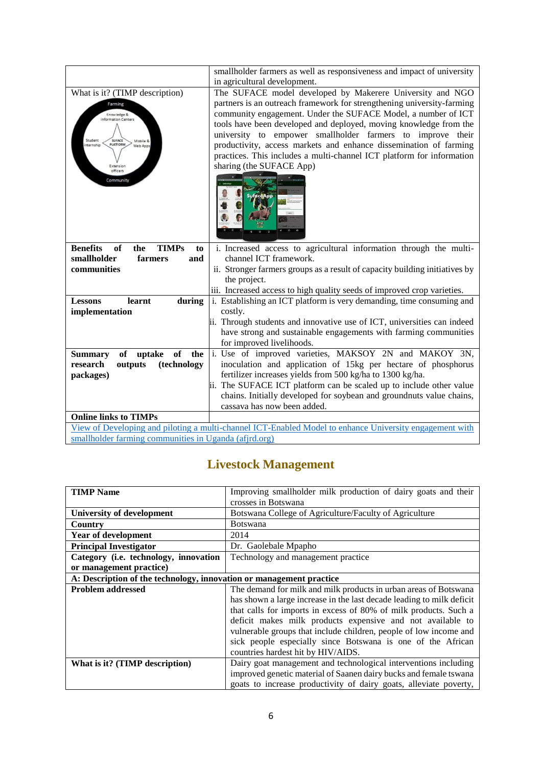|                                                       | smallholder farmers as well as responsiveness and impact of university                                  |
|-------------------------------------------------------|---------------------------------------------------------------------------------------------------------|
|                                                       | in agricultural development.                                                                            |
| What is it? (TIMP description)                        | The SUFACE model developed by Makerere University and NGO                                               |
| Farming                                               | partners is an outreach framework for strengthening university-farming                                  |
| Knowledge &<br>information Centers                    | community engagement. Under the SUFACE Model, a number of ICT                                           |
|                                                       | tools have been developed and deployed, moving knowledge from the                                       |
| <b>SUFACE</b><br>Student<br>Mobile &                  | university to empower smallholder farmers to improve their                                              |
| <b>PLATFORM</b><br>nternship<br>Web Apps              | productivity, access markets and enhance dissemination of farming                                       |
|                                                       | practices. This includes a multi-channel ICT platform for information                                   |
| Extension<br>officers                                 | sharing (the SUFACE App)                                                                                |
| Community                                             |                                                                                                         |
|                                                       |                                                                                                         |
|                                                       | <b>Sufoce App</b>                                                                                       |
|                                                       |                                                                                                         |
|                                                       |                                                                                                         |
|                                                       |                                                                                                         |
| <b>Benefits</b><br>of<br><b>TIMPs</b><br>the<br>to    | i. Increased access to agricultural information through the multi-                                      |
| smallholder<br>farmers<br>and                         | channel ICT framework.                                                                                  |
| communities                                           | ii. Stronger farmers groups as a result of capacity building initiatives by                             |
|                                                       | the project.                                                                                            |
|                                                       | iii. Increased access to high quality seeds of improved crop varieties.                                 |
| learnt<br><b>Lessons</b><br>during                    | i. Establishing an ICT platform is very demanding, time consuming and                                   |
| implementation                                        | costly.                                                                                                 |
|                                                       | ii. Through students and innovative use of ICT, universities can indeed                                 |
|                                                       | have strong and sustainable engagements with farming communities                                        |
|                                                       | for improved livelihoods.                                                                               |
| <b>of</b><br>the<br>uptake<br><b>Summary</b><br>of    | 1. Use of improved varieties, MAKSOY 2N and MAKOY 3N,                                                   |
| (technology<br>research<br>outputs                    | inoculation and application of 15kg per hectare of phosphorus                                           |
| packages)                                             | fertilizer increases yields from 500 kg/ha to 1300 kg/ha.                                               |
|                                                       | ii. The SUFACE ICT platform can be scaled up to include other value                                     |
|                                                       | chains. Initially developed for soybean and groundnuts value chains,                                    |
|                                                       | cassava has now been added.                                                                             |
| <b>Online links to TIMPs</b>                          |                                                                                                         |
|                                                       | View of Developing and piloting a multi-channel ICT-Enabled Model to enhance University engagement with |
| smallholder farming communities in Uganda (afjrd.org) |                                                                                                         |

### **Livestock Management**

| <b>TIMP</b> Name                                                    | Improving smallholder milk production of dairy goats and their<br>crosses in Botswana                                                                                                                                                                                                                                                                                                                                                                 |
|---------------------------------------------------------------------|-------------------------------------------------------------------------------------------------------------------------------------------------------------------------------------------------------------------------------------------------------------------------------------------------------------------------------------------------------------------------------------------------------------------------------------------------------|
| <b>University of development</b>                                    | Botswana College of Agriculture/Faculty of Agriculture                                                                                                                                                                                                                                                                                                                                                                                                |
| Country                                                             | <b>Botswana</b>                                                                                                                                                                                                                                                                                                                                                                                                                                       |
| Year of development                                                 | 2014                                                                                                                                                                                                                                                                                                                                                                                                                                                  |
| <b>Principal Investigator</b>                                       | Dr. Gaolebale Mpapho                                                                                                                                                                                                                                                                                                                                                                                                                                  |
| Category (i.e. technology, innovation                               | Technology and management practice                                                                                                                                                                                                                                                                                                                                                                                                                    |
| or management practice)                                             |                                                                                                                                                                                                                                                                                                                                                                                                                                                       |
| A: Description of the technology, innovation or management practice |                                                                                                                                                                                                                                                                                                                                                                                                                                                       |
| <b>Problem addressed</b>                                            | The demand for milk and milk products in urban areas of Botswana<br>has shown a large increase in the last decade leading to milk deficit<br>that calls for imports in excess of 80% of milk products. Such a<br>deficit makes milk products expensive and not available to<br>vulnerable groups that include children, people of low income and<br>sick people especially since Botswana is one of the African<br>countries hardest hit by HIV/AIDS. |
| What is it? (TIMP description)                                      | Dairy goat management and technological interventions including<br>improved genetic material of Saanen dairy bucks and female tswana<br>goats to increase productivity of dairy goats, alleviate poverty,                                                                                                                                                                                                                                             |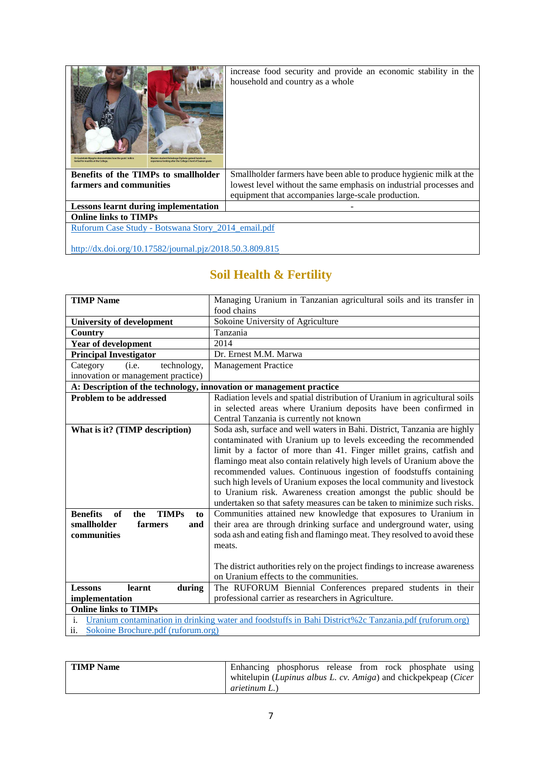| Dr Gaolebale Mpapho demonstrates how the goats' milk is<br>Masters student Keleaboga Dipheko gained hands-on<br>experience looking after the College's herd of Saanen goats.<br>tested for mastitis at the College | increase food security and provide an economic stability in the<br>household and country as a whole |  |
|--------------------------------------------------------------------------------------------------------------------------------------------------------------------------------------------------------------------|-----------------------------------------------------------------------------------------------------|--|
| <b>Benefits of the TIMPs to smallholder</b>                                                                                                                                                                        | Smallholder farmers have been able to produce hygienic milk at the                                  |  |
| farmers and communities                                                                                                                                                                                            | lowest level without the same emphasis on industrial processes and                                  |  |
|                                                                                                                                                                                                                    | equipment that accompanies large-scale production.                                                  |  |
| <b>Lessons learnt during implementation</b>                                                                                                                                                                        |                                                                                                     |  |
| <b>Online links to TIMPs</b>                                                                                                                                                                                       |                                                                                                     |  |
| Ruforum Case Study - Botswana Story 2014 email.pdf                                                                                                                                                                 |                                                                                                     |  |
|                                                                                                                                                                                                                    |                                                                                                     |  |

<http://dx.doi.org/10.17582/journal.pjz/2018.50.3.809.815>

### **Soil Health & Fertility**

| <b>TIMP Name</b>                                                                                            | Managing Uranium in Tanzanian agricultural soils and its transfer in        |  |
|-------------------------------------------------------------------------------------------------------------|-----------------------------------------------------------------------------|--|
|                                                                                                             | food chains                                                                 |  |
| <b>University of development</b>                                                                            | Sokoine University of Agriculture                                           |  |
| Country                                                                                                     | Tanzania                                                                    |  |
| Year of development                                                                                         | 2014                                                                        |  |
| <b>Principal Investigator</b>                                                                               | Dr. Ernest M.M. Marwa                                                       |  |
| Category<br>(i.e.<br>technology,                                                                            | <b>Management Practice</b>                                                  |  |
| innovation or management practice)                                                                          |                                                                             |  |
| A: Description of the technology, innovation or management practice                                         |                                                                             |  |
| <b>Problem to be addressed</b>                                                                              | Radiation levels and spatial distribution of Uranium in agricultural soils  |  |
|                                                                                                             | in selected areas where Uranium deposits have been confirmed in             |  |
|                                                                                                             | Central Tanzania is currently not known                                     |  |
| What is it? (TIMP description)                                                                              | Soda ash, surface and well waters in Bahi. District, Tanzania are highly    |  |
|                                                                                                             | contaminated with Uranium up to levels exceeding the recommended            |  |
|                                                                                                             | limit by a factor of more than 41. Finger millet grains, catfish and        |  |
|                                                                                                             | flamingo meat also contain relatively high levels of Uranium above the      |  |
|                                                                                                             | recommended values. Continuous ingestion of foodstuffs containing           |  |
|                                                                                                             | such high levels of Uranium exposes the local community and livestock       |  |
|                                                                                                             | to Uranium risk. Awareness creation amongst the public should be            |  |
|                                                                                                             | undertaken so that safety measures can be taken to minimize such risks.     |  |
| <b>Benefits</b><br>of<br><b>TIMPs</b><br>the<br>to                                                          | Communities attained new knowledge that exposures to Uranium in             |  |
| smallholder<br>farmers<br>and                                                                               | their area are through drinking surface and underground water, using        |  |
| communities                                                                                                 | soda ash and eating fish and flamingo meat. They resolved to avoid these    |  |
|                                                                                                             | meats.                                                                      |  |
|                                                                                                             |                                                                             |  |
|                                                                                                             | The district authorities rely on the project findings to increase awareness |  |
|                                                                                                             | on Uranium effects to the communities.                                      |  |
| <b>Lessons</b><br>learnt<br>during                                                                          | The RUFORUM Biennial Conferences prepared students in their                 |  |
| professional carrier as researchers in Agriculture.<br>implementation                                       |                                                                             |  |
| <b>Online links to TIMPs</b>                                                                                |                                                                             |  |
| Uranium contamination in drinking water and foodstuffs in Bahi District%2c Tanzania.pdf (ruforum.org)<br>i. |                                                                             |  |
| Sokoine Brochure.pdf (ruforum.org)<br>11.                                                                   |                                                                             |  |

| <b>TIMP</b> Name | Enhancing phosphorus release from rock phosphate using          |
|------------------|-----------------------------------------------------------------|
|                  | whitelupin (Lupinus albus L. cv. Amiga) and chickpekpeap (Cicer |
|                  | <i>arietinum L.</i> )                                           |